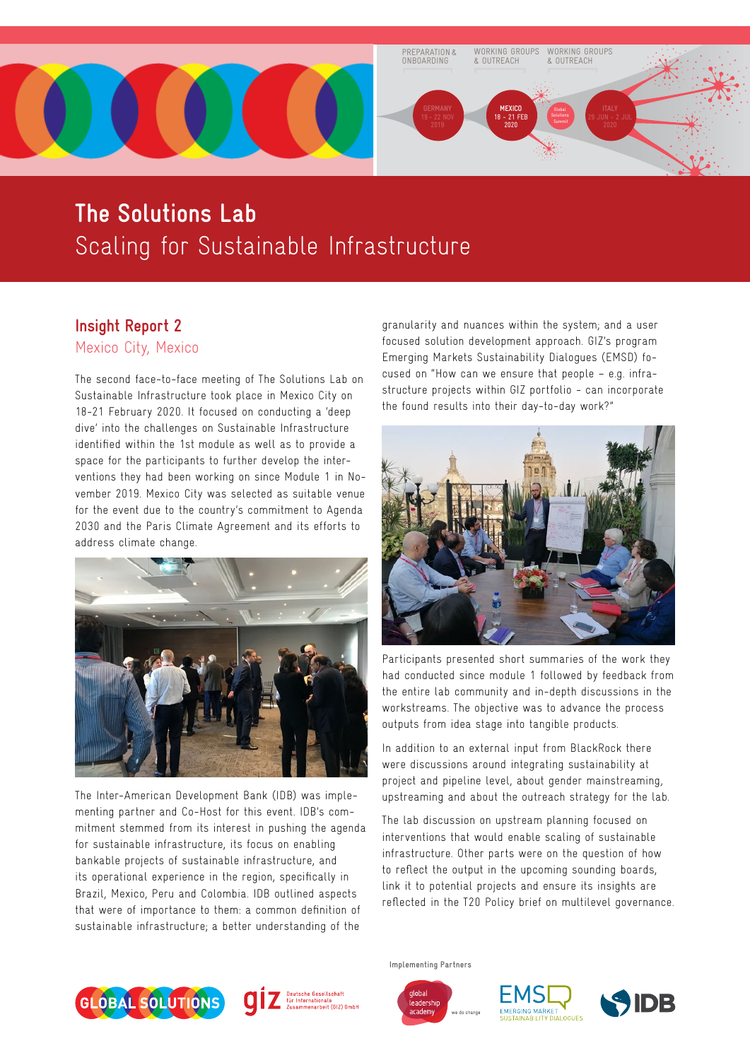

# **The Solutions Lab** Scaling for Sustainable Infrastructure

## **Insight Report 2**

Mexico City, Mexico

The second face-to-face meeting of The Solutions Lab on Sustainable Infrastructure took place in Mexico City on 18-21 February 2020. It focused on conducting a 'deep dive' into the challenges on Sustainable Infrastructure identified within the 1st module as well as to provide a space for the participants to further develop the interventions they had been working on since Module 1 in November 2019. Mexico City was selected as suitable venue for the event due to the country's commitment to Agenda 2030 and the Paris Climate Agreement and its efforts to address climate change.



The Inter-American Development Bank (IDB) was implementing partner and Co-Host for this event. IDB's commitment stemmed from its interest in pushing the agenda for sustainable infrastructure, its focus on enabling bankable projects of sustainable infrastructure, and its operational experience in the region, specifically in Brazil, Mexico, Peru and Colombia. IDB outlined aspects that were of importance to them: a common definition of sustainable infrastructure; a better understanding of the

granularity and nuances within the system; and a user focused solution development approach. GIZ's program Emerging Markets Sustainability Dialogues (EMSD) focused on "How can we ensure that people – e.g. infrastructure projects within GIZ portfolio - can incorporate the found results into their day-to-day work?"



Participants presented short summaries of the work they had conducted since module 1 followed by feedback from the entire lab community and in-depth discussions in the workstreams. The objective was to advance the process outputs from idea stage into tangible products.

In addition to an external input from BlackRock there were discussions around integrating sustainability at project and pipeline level, about gender mainstreaming, upstreaming and about the outreach strategy for the lab.

The lab discussion on upstream planning focused on interventions that would enable scaling of sustainable infrastructure. Other parts were on the question of how to reflect the output in the upcoming sounding boards, link it to potential projects and ensure its insights are reflected in the T20 Policy brief on multilevel governance.





**Implementing Partners**